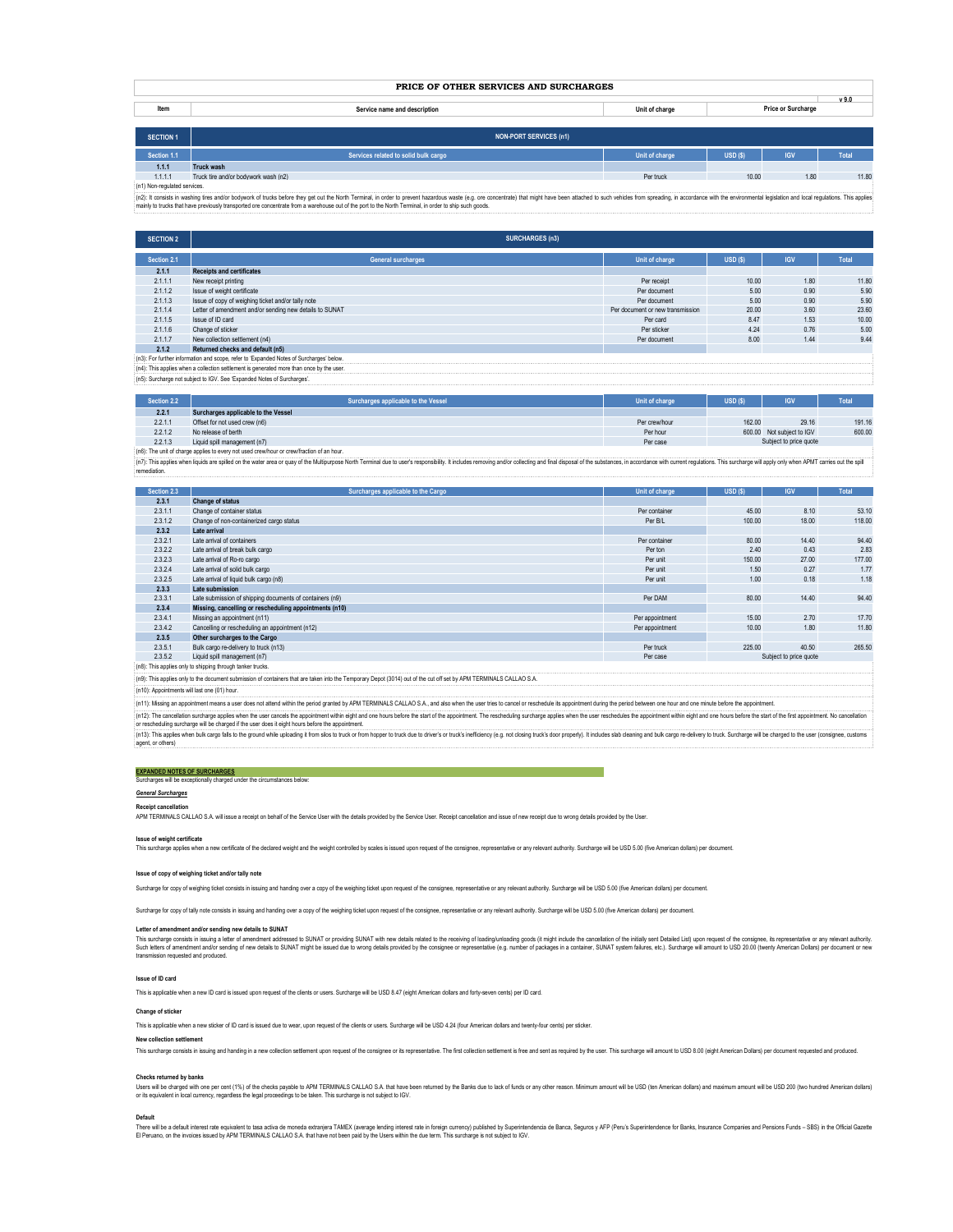| PRICE OF OTHER SERVICES AND SURCHARGES |                                      |                                      |        |            |              |  |  |
|----------------------------------------|--------------------------------------|--------------------------------------|--------|------------|--------------|--|--|
| Item                                   | Service name and description         | Price or Surcharge<br>Unit of charge |        |            | v9.0         |  |  |
|                                        |                                      |                                      |        |            |              |  |  |
| <b>SECTION 1</b>                       | <b>NON-PORT SERVICES (n1)</b>        |                                      |        |            |              |  |  |
| Section 1.1                            | Services related to solid bulk cargo | Unit of charge                       | USD(S) | <b>IGV</b> | <b>Total</b> |  |  |
| 1.1.1                                  | Truck wash                           |                                      |        |            |              |  |  |
| 1.1.1.1                                | Truck tire and/or bodywork wash (n2) | Per truck                            | 10.00  | 1.80       | 11.80        |  |  |

(n1) Non-regulated services.

(n2): It consists in washing tres and/or bodywork of trucks before they get out the North Terminal, in order to prevent hazardous waste (e.g. ore concentrate) that might have been attached to such vehicles from spreading, mainly to trucks that have previously transported ore concentrate from a warehouse out of the port to the North Terminal, in order to ship such goods.

| <b>SECTION 2</b>                                                                        | <b>SURCHARGES (n3)</b>                                  |                                  |        |            |       |  |
|-----------------------------------------------------------------------------------------|---------------------------------------------------------|----------------------------------|--------|------------|-------|--|
| Section 2.1                                                                             | <b>General surcharges</b>                               | Unit of charge                   | USD(S) | <b>IGV</b> | Total |  |
| 2.1.1                                                                                   | <b>Receipts and certificates</b>                        |                                  |        |            |       |  |
| 2.1.1.1                                                                                 | New receipt printing                                    | Per receipt                      | 10.00  | 1.80       | 11.80 |  |
| 2.1.1.2                                                                                 | Issue of weight certificate                             | Per document                     | 5.00   | 0.90       | 5.90  |  |
| 2.1.1.3                                                                                 | Issue of copy of weighing ticket and/or tally note      | Per document                     | 5.00   | 0.90       | 5.90  |  |
| 2.1.1.4                                                                                 | Letter of amendment and/or sending new details to SUNAT | Per document or new transmission | 20.00  | 3.60       | 23.60 |  |
| 2.1.1.5                                                                                 | Issue of ID card                                        | Per card                         | 8.47   | 1.53       | 10.00 |  |
| 2.1.1.6                                                                                 | Change of sticker                                       | Per sticker                      | 4.24   | 0.76       | 5.00  |  |
| 2.1.1.7                                                                                 | New collection settlement (n4)                          | Per document                     | 8.00   | 1.44       | 9.44  |  |
| 2.1.2                                                                                   | Returned checks and default (n5)                        |                                  |        |            |       |  |
| (n3): For further information and scope, refer to 'Expanded Notes of Surcharges' below. |                                                         |                                  |        |            |       |  |
| Lot in This anglias when a sollegies asthemant is accorded more than once by the upon   |                                                         |                                  |        |            |       |  |

(n5): Surcharge not subject to IGV. See 'Expanded Notes of Surcharges'. (n4): This applies when a collection settlement is generated more than once by the user.

| Section 2.2                                                                             | Surcharges applicable to the Vessel | Unit of charge | USD(S) | <b>IGV</b>                | <b>Total</b> |
|-----------------------------------------------------------------------------------------|-------------------------------------|----------------|--------|---------------------------|--------------|
| 2.2.1                                                                                   | Surcharges applicable to the Vessel |                |        |                           |              |
| 2.2.1.1                                                                                 | Offset for not used crew (n6)       | Per crew/hour  | 162.00 | 29.16                     | 191.16       |
| 2.2.1.2                                                                                 | No release of berth                 | Per hour       |        | 600.00 Not subject to IGV | 600.00       |
| 2.2.1.3                                                                                 | Liquid spill management (n7)        | Per case       |        | Subject to price quote    |              |
| (n6): The unit of charge annies to every not used crew/hour or crew/fraction of an hour |                                     |                |        |                           |              |

(n6): The unit of charge applies to every not used crewhour or crewfraction of an hour.<br>(n7): This applies when funds are spilled on the water area or quay of the Multipupose North Terminal due to user's responshifty. It i remediation.

| Section 2.3                                                                                                                                                        | Surcharges applicable to the Cargo                       | <b>Unit of charge</b> | USD(S)                 | <b>IGV</b> | <b>Total</b> |
|--------------------------------------------------------------------------------------------------------------------------------------------------------------------|----------------------------------------------------------|-----------------------|------------------------|------------|--------------|
| 2.3.1                                                                                                                                                              | <b>Change of status</b>                                  |                       |                        |            |              |
| 2.3.1.1                                                                                                                                                            | Change of container status                               | Per container         | 45.00                  | 8.10       | 53.10        |
| 2.3.1.2                                                                                                                                                            | Change of non-containerized cargo status                 | Per B/L               | 100.00                 | 18.00      | 118.00       |
| 2.3.2                                                                                                                                                              | Late arrival                                             |                       |                        |            |              |
| 2.3.2.1                                                                                                                                                            | Late arrival of containers                               | Per container         | 80.00                  | 14.40      | 94.40        |
| 2.3.2.2                                                                                                                                                            | Late arrival of break bulk cargo                         | Per ton               | 2.40                   | 0.43       | 2.83         |
| 2.3.2.3                                                                                                                                                            | Late arrival of Ro-ro cargo                              | Per unit              | 150.00                 | 27.00      | 177.00       |
| 2.3.2.4                                                                                                                                                            | Late arrival of solid bulk cargo                         | Per unit              | 1.50                   | 0.27       | 1.77         |
| 2.3.2.5                                                                                                                                                            | Late arrival of liquid bulk cargo (n8)                   | Per unit              | 1.00                   | 0.18       | 1.18         |
| 2.3.3                                                                                                                                                              | Late submission                                          |                       |                        |            |              |
| 2.3.3.1                                                                                                                                                            | Late submission of shipping documents of containers (n9) | Per DAM               | 80.00                  | 14.40      | 94.40        |
| 2.3.4                                                                                                                                                              | Missing, cancelling or rescheduling appointments (n10)   |                       |                        |            |              |
| 2.3.4.1                                                                                                                                                            | Missing an appointment (n11)                             | Per appointment       | 15.00                  | 2.70       | 17.70        |
| 2.3.4.2                                                                                                                                                            | Cancelling or rescheduling an appointment (n12)          | Per appointment       | 10.00                  | 1.80       | 11.80        |
| 2.3.5                                                                                                                                                              | Other surcharges to the Cargo                            |                       |                        |            |              |
| 2.3.5.1                                                                                                                                                            | Bulk cargo re-delivery to truck (n13)                    | Per truck             | 225.00                 | 40.50      | 265.50       |
| 2.3.5.2                                                                                                                                                            | Liquid spill management (n7)                             | Per case              | Subject to price quote |            |              |
| (n8): This applies only to shipping through tanker trucks.                                                                                                         |                                                          |                       |                        |            |              |
| (n9): This applies only to the document submission of containers that are taken into the Temporary Depot (3014) out of the cut off set by APM TERMINALS CALLAO S.A |                                                          |                       |                        |            |              |
| (n10): Appointments will last one (01) hour.                                                                                                                       |                                                          |                       |                        |            |              |

(n11): Missing an appointment means a user does not attend within the period granted by APM TERMINALS CALLAO S.A., and also when the user tries to cancel or reschedule its appointment during the period between one hour and (n12): The cancelation surcharge applies when the user cancels the appointment within eight and one hours before the start of the appointment. The rescheduling surcharge applies when the user reschedules the appointment wi

(n13): This asples when bulk cargo falls to the ground while uploading it form sios to truck or from hopper to truck de to driver's or truck's inefficiency (e.g. not dosing trucks door properly). It includes slab cleaning or rescheduling surcharge will be charged if the user does it eight hours before the appointment.

**EXPANDED NOTES OF SURCHARGES** Surcharges will be exceptionally charged under the circumstances below:

# *General Surcharges*

# **Receipt cancellation**

APM TERMINALS CALLAO S.A. will issue a receipt on behalf of the Service User with the details provided by the Service User. Receipt cancellation and issue of new receipt due to wrong details provided by the User

## **Issue of weight certificate**

This surcharge applies when a new certificate of the declared weight and the weight controlled by scales is issued upon request of the consignee, representative or any relevant authority. Surcharge will be USD 5.00 (five A

# **Issue of copy of weighing ticket and/or tally note**

Surcharge for copy of weighing ticket consists in issuing and handing over a copy of the weighing ticket upon request of the consignee, representative or any relevant authority. Surcharge will be USD 5.00 (five American do

Surcharge for copy of tally note consists in issuing and handing over a copy of the weighing ticket upon request of the consignee, representative or any relevant authority. Surcharge will be USD 5.00 (five American dollars

# **Letter of amendment and/or sending new details to SUNAT**

This surcharge consists in issuing a letter of amendment addressed to SUNAT or providing SUNAT with new details related to the receiving of bading/unloading goods (t might include the cancellation of the initialy sent Deta

## **Issue of ID card**

This is applicable when a new ID card is issued upon request of the clients or users. Surcharge will be USD 8.47 (eight American dollars and forty-seven cents) per ID card.

## **Change of sticker**

This is applicable when a new sticker of ID card is issued due to wear, upon request of the clients or users. Surcharge will be USD 4.24 (four American dollars and twenty-four cents) per sticker

# **New collection settlement**

This surcharge consists in issuing and handing in a new collection settlement upon request of the consignee or its representative. The first collection settlement is free and send a required by the user. This surcharge wil

# **Checks returned by banks**

Users will be charged with one par cent (1%) of the checks payable to APM TERMINALS CALLAO & the theoretoned by the Banks due to lack of funds or any other reason. Minimum amount will be USD (ten American colors) and maxim

# **Default**

There will be a defail therest rate opuralent to tas active de moneds extranjes TAMEX (nerege lending interest rate in foreign currency) published by Superintendencia de Banca, Seguros y AFP (Peru's Superintendence for Ban